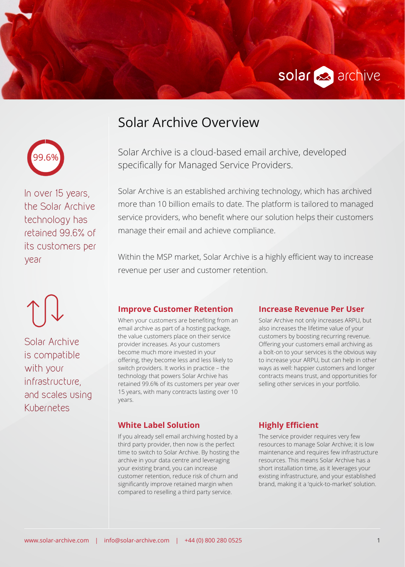



In over 15 years, the Solar Archive technology has retained 99.6% of its customers per year

Solar Archive is compatible with your infrastructure, and scales using Kubernetes

# Solar Archive Overview

Solar Archive is a cloud-based email archive, developed specifically for Managed Service Providers.

Solar Archive is an established archiving technology, which has archived more than 10 billion emails to date. The platform is tailored to managed service providers, who benefit where our solution helps their customers manage their email and achieve compliance.

Within the MSP market, Solar Archive is a highly efficient way to increase revenue per user and customer retention.

### **Improve Customer Retention**

When your customers are benefiting from an email archive as part of a hosting package, the value customers place on their service provider increases. As your customers become much more invested in your offering, they become less and less likely to switch providers. It works in practice – the technology that powers Solar Archive has retained 99.6% of its customers per year over 15 years, with many contracts lasting over 10 years.

#### **Increase Revenue Per User**

Solar Archive not only increases ARPU, but also increases the lifetime value of your customers by boosting recurring revenue. Offering your customers email archiving as a bolt-on to your services is the obvious way to increase your ARPU, but can help in other ways as well: happier customers and longer contracts means trust, and opportunities for selling other services in your portfolio.

#### **White Label Solution**

If you already sell email archiving hosted by a third party provider, then now is the perfect time to switch to Solar Archive. By hosting the archive in your data centre and leveraging your existing brand, you can increase customer retention, reduce risk of churn and significantly improve retained margin when compared to reselling a third party service.

**Highly Efficient**

The service provider requires very few resources to manage Solar Archive; it is low maintenance and requires few infrastructure resources. This means Solar Archive has a short installation time, as it leverages your existing infrastructure, and your established brand, making it a 'quick-to-market' solution.